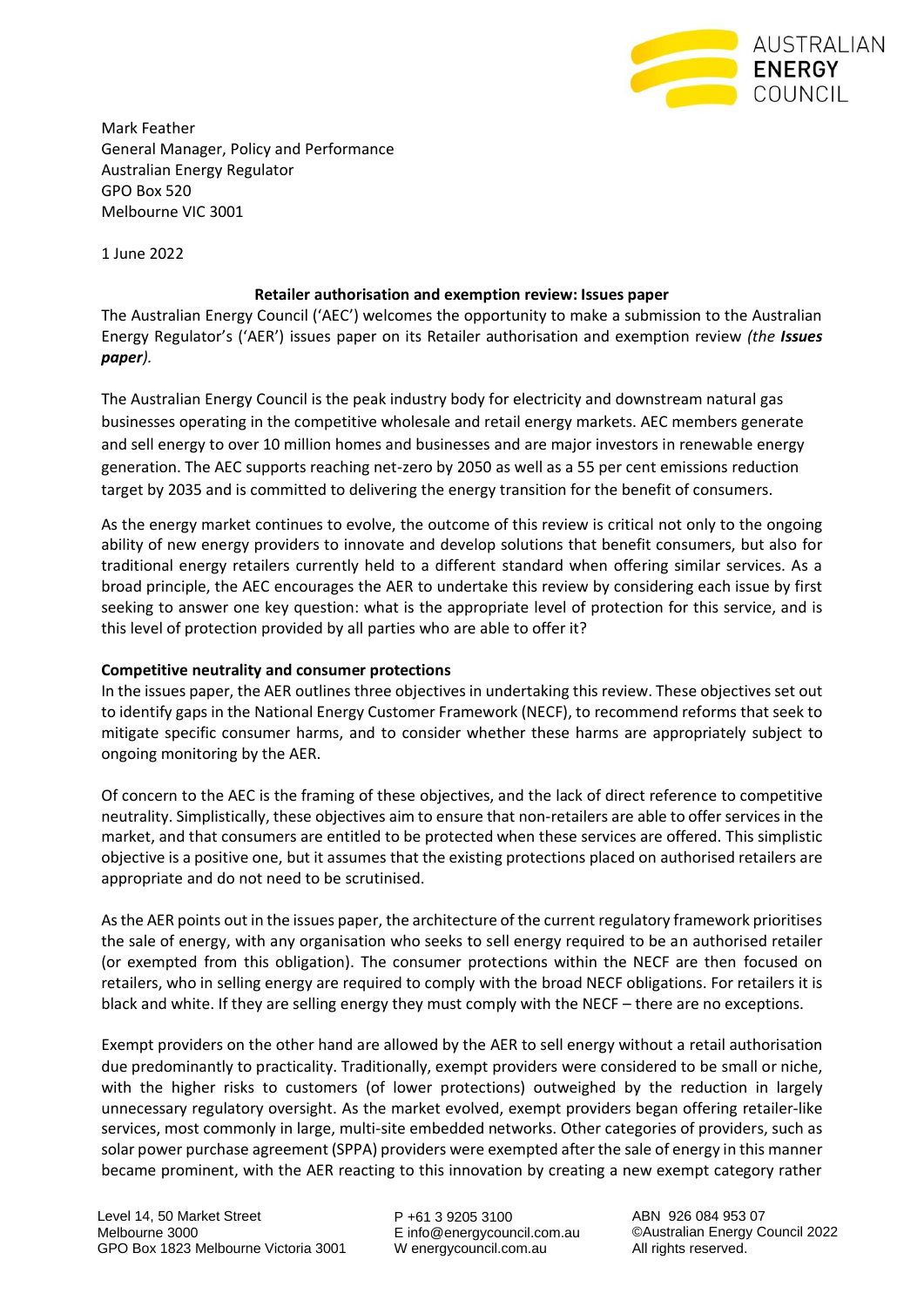

Mark Feather General Manager, Policy and Performance Australian Energy Regulator GPO Box 520 Melbourne VIC 3001

1 June 2022

## **Retailer authorisation and exemption review: Issues paper**

The Australian Energy Council ('AEC') welcomes the opportunity to make a submission to the Australian Energy Regulator's ('AER') issues paper on its Retailer authorisation and exemption review *(the Issues paper).*

The Australian Energy Council is the peak industry body for electricity and downstream natural gas businesses operating in the competitive wholesale and retail energy markets. AEC members generate and sell energy to over 10 million homes and businesses and are major investors in renewable energy generation. The AEC supports reaching net-zero by 2050 as well as a 55 per cent emissions reduction target by 2035 and is committed to delivering the energy transition for the benefit of consumers.

As the energy market continues to evolve, the outcome of this review is critical not only to the ongoing ability of new energy providers to innovate and develop solutions that benefit consumers, but also for traditional energy retailers currently held to a different standard when offering similar services. As a broad principle, the AEC encourages the AER to undertake this review by considering each issue by first seeking to answer one key question: what is the appropriate level of protection for this service, and is this level of protection provided by all parties who are able to offer it?

# **Competitive neutrality and consumer protections**

In the issues paper, the AER outlines three objectives in undertaking this review. These objectives set out to identify gaps in the National Energy Customer Framework (NECF), to recommend reforms that seek to mitigate specific consumer harms, and to consider whether these harms are appropriately subject to ongoing monitoring by the AER.

Of concern to the AEC is the framing of these objectives, and the lack of direct reference to competitive neutrality. Simplistically, these objectives aim to ensure that non-retailers are able to offer services in the market, and that consumers are entitled to be protected when these services are offered. This simplistic objective is a positive one, but it assumes that the existing protections placed on authorised retailers are appropriate and do not need to be scrutinised.

As the AER points out in the issues paper, the architecture of the current regulatory framework prioritises the sale of energy, with any organisation who seeks to sell energy required to be an authorised retailer (or exempted from this obligation). The consumer protections within the NECF are then focused on retailers, who in selling energy are required to comply with the broad NECF obligations. For retailers it is black and white. If they are selling energy they must comply with the NECF – there are no exceptions.

Exempt providers on the other hand are allowed by the AER to sell energy without a retail authorisation due predominantly to practicality. Traditionally, exempt providers were considered to be small or niche, with the higher risks to customers (of lower protections) outweighed by the reduction in largely unnecessary regulatory oversight. As the market evolved, exempt providers began offering retailer-like services, most commonly in large, multi-site embedded networks. Other categories of providers, such as solar power purchase agreement (SPPA) providers were exempted after the sale of energy in this manner became prominent, with the AER reacting to this innovation by creating a new exempt category rather

P +61 3 9205 3100 E info@energycouncil.com.au W energycouncil.com.au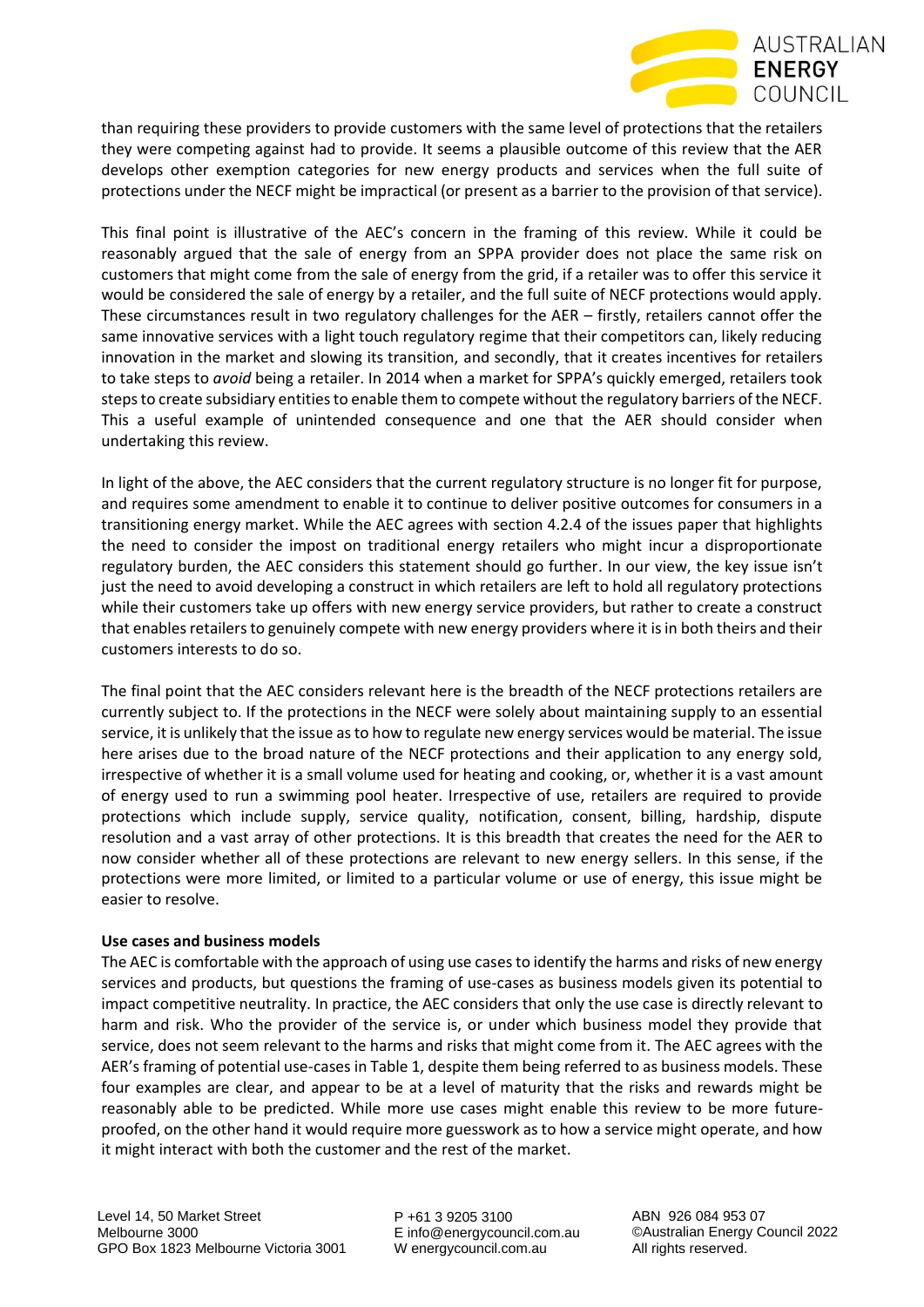

than requiring these providers to provide customers with the same level of protections that the retailers they were competing against had to provide. It seems a plausible outcome of this review that the AER develops other exemption categories for new energy products and services when the full suite of protections under the NECF might be impractical (or present as a barrier to the provision of that service).

This final point is illustrative of the AEC's concern in the framing of this review. While it could be reasonably argued that the sale of energy from an SPPA provider does not place the same risk on customers that might come from the sale of energy from the grid, if a retailer was to offer this service it would be considered the sale of energy by a retailer, and the full suite of NECF protections would apply. These circumstances result in two regulatory challenges for the AER – firstly, retailers cannot offer the same innovative services with a light touch regulatory regime that their competitors can, likely reducing innovation in the market and slowing its transition, and secondly, that it creates incentives for retailers to take steps to *avoid* being a retailer. In 2014 when a market for SPPA's quickly emerged, retailers took steps to create subsidiary entities to enable them to compete without the regulatory barriers of the NECF. This a useful example of unintended consequence and one that the AER should consider when undertaking this review.

In light of the above, the AEC considers that the current regulatory structure is no longer fit for purpose, and requires some amendment to enable it to continue to deliver positive outcomes for consumers in a transitioning energy market. While the AEC agrees with section 4.2.4 of the issues paper that highlights the need to consider the impost on traditional energy retailers who might incur a disproportionate regulatory burden, the AEC considers this statement should go further. In our view, the key issue isn't just the need to avoid developing a construct in which retailers are left to hold all regulatory protections while their customers take up offers with new energy service providers, but rather to create a construct that enables retailers to genuinely compete with new energy providers where it is in both theirs and their customers interests to do so.

The final point that the AEC considers relevant here is the breadth of the NECF protections retailers are currently subject to. If the protections in the NECF were solely about maintaining supply to an essential service, it is unlikely that the issue as to how to regulate new energy services would be material. The issue here arises due to the broad nature of the NECF protections and their application to any energy sold, irrespective of whether it is a small volume used for heating and cooking, or, whether it is a vast amount of energy used to run a swimming pool heater. Irrespective of use, retailers are required to provide protections which include supply, service quality, notification, consent, billing, hardship, dispute resolution and a vast array of other protections. It is this breadth that creates the need for the AER to now consider whether all of these protections are relevant to new energy sellers. In this sense, if the protections were more limited, or limited to a particular volume or use of energy, this issue might be easier to resolve.

### **Use cases and business models**

The AEC is comfortable with the approach of using use cases to identify the harms and risks of new energy services and products, but questions the framing of use-cases as business models given its potential to impact competitive neutrality. In practice, the AEC considers that only the use case is directly relevant to harm and risk. Who the provider of the service is, or under which business model they provide that service, does not seem relevant to the harms and risks that might come from it. The AEC agrees with the AER's framing of potential use-cases in Table 1, despite them being referred to as business models. These four examples are clear, and appear to be at a level of maturity that the risks and rewards might be reasonably able to be predicted. While more use cases might enable this review to be more futureproofed, on the other hand it would require more guesswork as to how a service might operate, and how it might interact with both the customer and the rest of the market.

P +61 3 9205 3100 E info@energycouncil.com.au W energycouncil.com.au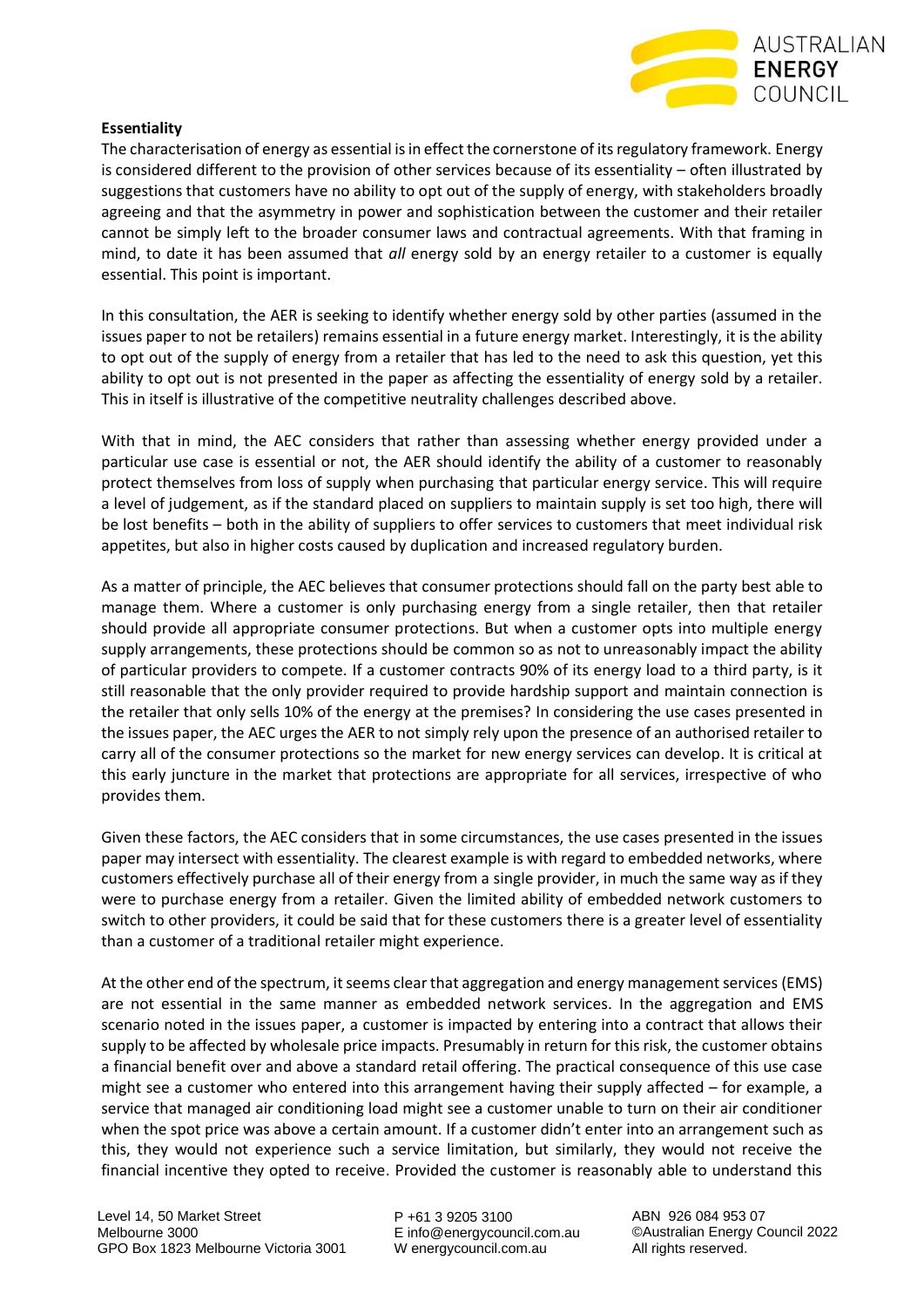

#### **Essentiality**

The characterisation of energy as essential is in effect the cornerstone of its regulatory framework. Energy is considered different to the provision of other services because of its essentiality – often illustrated by suggestions that customers have no ability to opt out of the supply of energy, with stakeholders broadly agreeing and that the asymmetry in power and sophistication between the customer and their retailer cannot be simply left to the broader consumer laws and contractual agreements. With that framing in mind, to date it has been assumed that *all* energy sold by an energy retailer to a customer is equally essential. This point is important.

In this consultation, the AER is seeking to identify whether energy sold by other parties (assumed in the issues paper to not be retailers) remains essential in a future energy market. Interestingly, it is the ability to opt out of the supply of energy from a retailer that has led to the need to ask this question, yet this ability to opt out is not presented in the paper as affecting the essentiality of energy sold by a retailer. This in itself is illustrative of the competitive neutrality challenges described above.

With that in mind, the AEC considers that rather than assessing whether energy provided under a particular use case is essential or not, the AER should identify the ability of a customer to reasonably protect themselves from loss of supply when purchasing that particular energy service. This will require a level of judgement, as if the standard placed on suppliers to maintain supply is set too high, there will be lost benefits – both in the ability of suppliers to offer services to customers that meet individual risk appetites, but also in higher costs caused by duplication and increased regulatory burden.

As a matter of principle, the AEC believes that consumer protections should fall on the party best able to manage them. Where a customer is only purchasing energy from a single retailer, then that retailer should provide all appropriate consumer protections. But when a customer opts into multiple energy supply arrangements, these protections should be common so as not to unreasonably impact the ability of particular providers to compete. If a customer contracts 90% of its energy load to a third party, is it still reasonable that the only provider required to provide hardship support and maintain connection is the retailer that only sells 10% of the energy at the premises? In considering the use cases presented in the issues paper, the AEC urges the AER to not simply rely upon the presence of an authorised retailer to carry all of the consumer protections so the market for new energy services can develop. It is critical at this early juncture in the market that protections are appropriate for all services, irrespective of who provides them.

Given these factors, the AEC considers that in some circumstances, the use cases presented in the issues paper may intersect with essentiality. The clearest example is with regard to embedded networks, where customers effectively purchase all of their energy from a single provider, in much the same way as if they were to purchase energy from a retailer. Given the limited ability of embedded network customers to switch to other providers, it could be said that for these customers there is a greater level of essentiality than a customer of a traditional retailer might experience.

At the other end of the spectrum, it seems clear that aggregation and energy management services (EMS) are not essential in the same manner as embedded network services. In the aggregation and EMS scenario noted in the issues paper, a customer is impacted by entering into a contract that allows their supply to be affected by wholesale price impacts. Presumably in return for this risk, the customer obtains a financial benefit over and above a standard retail offering. The practical consequence of this use case might see a customer who entered into this arrangement having their supply affected – for example, a service that managed air conditioning load might see a customer unable to turn on their air conditioner when the spot price was above a certain amount. If a customer didn't enter into an arrangement such as this, they would not experience such a service limitation, but similarly, they would not receive the financial incentive they opted to receive. Provided the customer is reasonably able to understand this

P +61 3 9205 3100 E info@energycouncil.com.au W energycouncil.com.au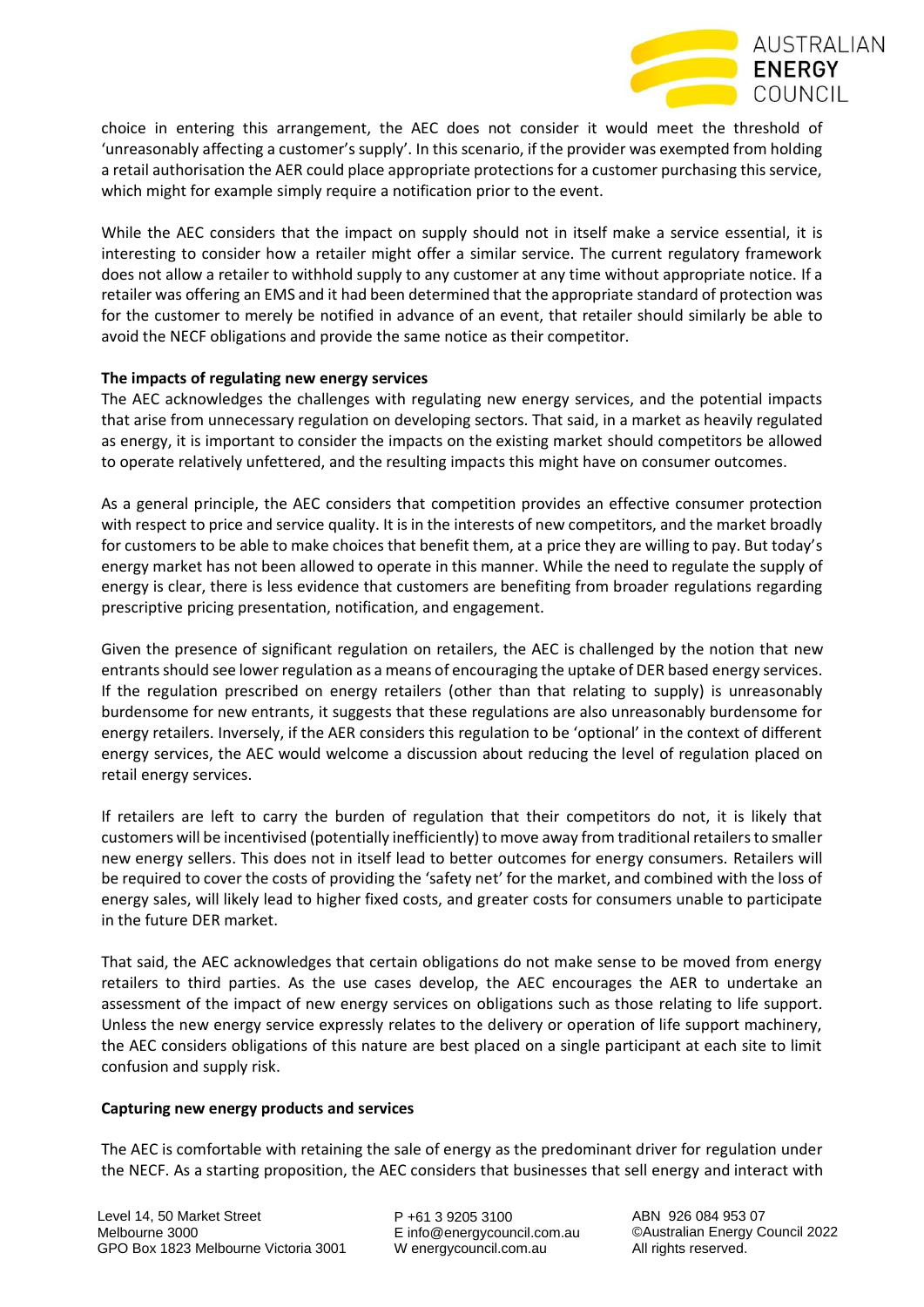

choice in entering this arrangement, the AEC does not consider it would meet the threshold of 'unreasonably affecting a customer's supply'. In this scenario, if the provider was exempted from holding a retail authorisation the AER could place appropriate protections for a customer purchasing this service, which might for example simply require a notification prior to the event.

While the AEC considers that the impact on supply should not in itself make a service essential, it is interesting to consider how a retailer might offer a similar service. The current regulatory framework does not allow a retailer to withhold supply to any customer at any time without appropriate notice. If a retailer was offering an EMS and it had been determined that the appropriate standard of protection was for the customer to merely be notified in advance of an event, that retailer should similarly be able to avoid the NECF obligations and provide the same notice as their competitor.

## **The impacts of regulating new energy services**

The AEC acknowledges the challenges with regulating new energy services, and the potential impacts that arise from unnecessary regulation on developing sectors. That said, in a market as heavily regulated as energy, it is important to consider the impacts on the existing market should competitors be allowed to operate relatively unfettered, and the resulting impacts this might have on consumer outcomes.

As a general principle, the AEC considers that competition provides an effective consumer protection with respect to price and service quality. It is in the interests of new competitors, and the market broadly for customers to be able to make choices that benefit them, at a price they are willing to pay. But today's energy market has not been allowed to operate in this manner. While the need to regulate the supply of energy is clear, there is less evidence that customers are benefiting from broader regulations regarding prescriptive pricing presentation, notification, and engagement.

Given the presence of significant regulation on retailers, the AEC is challenged by the notion that new entrants should see lower regulation as a means of encouraging the uptake of DER based energy services. If the regulation prescribed on energy retailers (other than that relating to supply) is unreasonably burdensome for new entrants, it suggests that these regulations are also unreasonably burdensome for energy retailers. Inversely, if the AER considers this regulation to be 'optional' in the context of different energy services, the AEC would welcome a discussion about reducing the level of regulation placed on retail energy services.

If retailers are left to carry the burden of regulation that their competitors do not, it is likely that customers will be incentivised (potentially inefficiently) to move away from traditional retailers to smaller new energy sellers. This does not in itself lead to better outcomes for energy consumers. Retailers will be required to cover the costs of providing the 'safety net' for the market, and combined with the loss of energy sales, will likely lead to higher fixed costs, and greater costs for consumers unable to participate in the future DER market.

That said, the AEC acknowledges that certain obligations do not make sense to be moved from energy retailers to third parties. As the use cases develop, the AEC encourages the AER to undertake an assessment of the impact of new energy services on obligations such as those relating to life support. Unless the new energy service expressly relates to the delivery or operation of life support machinery, the AEC considers obligations of this nature are best placed on a single participant at each site to limit confusion and supply risk.

### **Capturing new energy products and services**

The AEC is comfortable with retaining the sale of energy as the predominant driver for regulation under the NECF. As a starting proposition, the AEC considers that businesses that sell energy and interact with

P +61 3 9205 3100 E info@energycouncil.com.au W energycouncil.com.au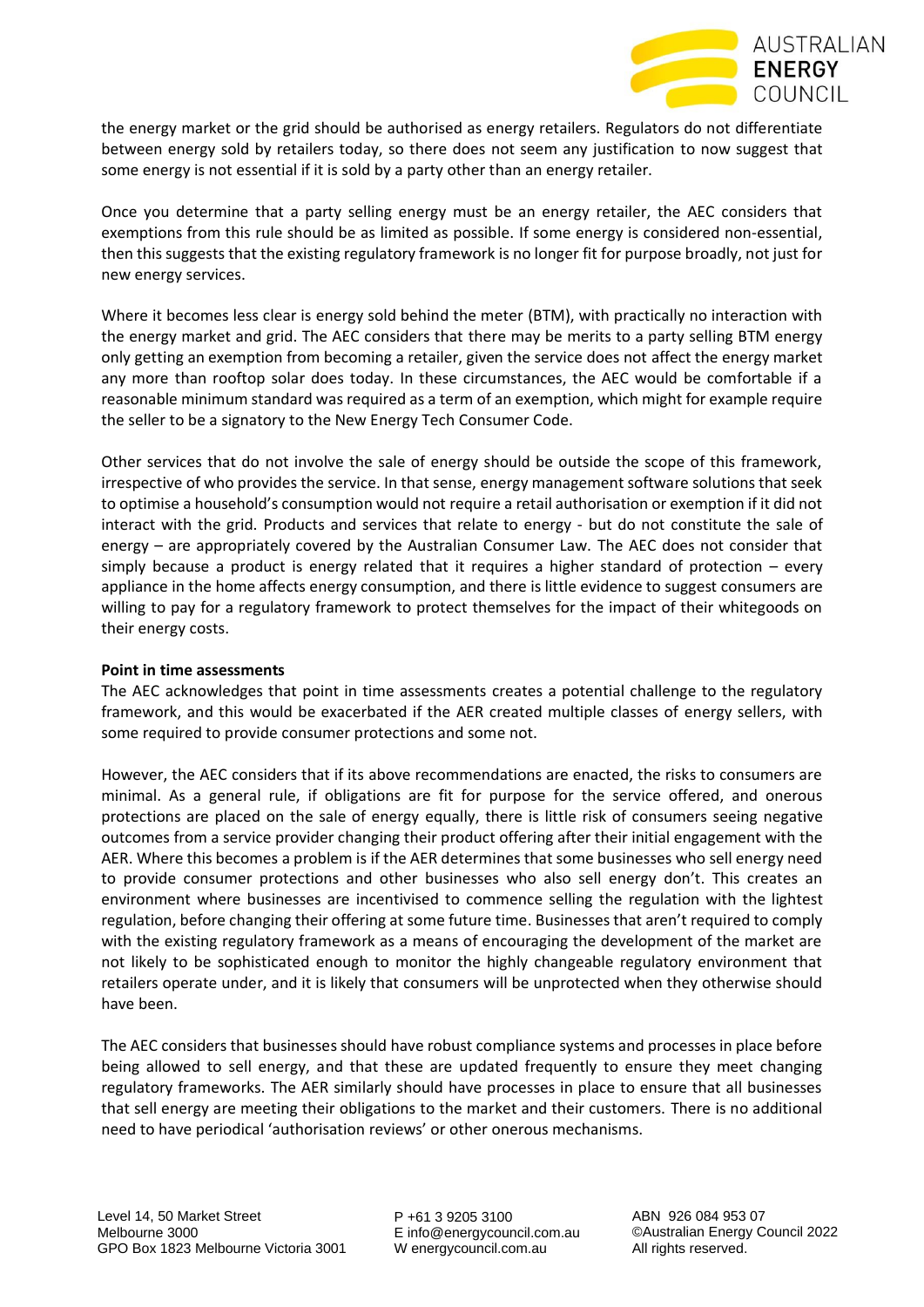the energy market or the grid should be authorised as energy retailers. Regulators do not differentiate between energy sold by retailers today, so there does not seem any justification to now suggest that some energy is not essential if it is sold by a party other than an energy retailer.

Once you determine that a party selling energy must be an energy retailer, the AEC considers that exemptions from this rule should be as limited as possible. If some energy is considered non-essential, then this suggests that the existing regulatory framework is no longer fit for purpose broadly, not just for new energy services.

Where it becomes less clear is energy sold behind the meter (BTM), with practically no interaction with the energy market and grid. The AEC considers that there may be merits to a party selling BTM energy only getting an exemption from becoming a retailer, given the service does not affect the energy market any more than rooftop solar does today. In these circumstances, the AEC would be comfortable if a reasonable minimum standard was required as a term of an exemption, which might for example require the seller to be a signatory to the New Energy Tech Consumer Code.

Other services that do not involve the sale of energy should be outside the scope of this framework, irrespective of who provides the service. In that sense, energy management software solutions that seek to optimise a household's consumption would not require a retail authorisation or exemption if it did not interact with the grid. Products and services that relate to energy - but do not constitute the sale of energy – are appropriately covered by the Australian Consumer Law. The AEC does not consider that simply because a product is energy related that it requires a higher standard of protection – every appliance in the home affects energy consumption, and there is little evidence to suggest consumers are willing to pay for a regulatory framework to protect themselves for the impact of their whitegoods on their energy costs.

### **Point in time assessments**

The AEC acknowledges that point in time assessments creates a potential challenge to the regulatory framework, and this would be exacerbated if the AER created multiple classes of energy sellers, with some required to provide consumer protections and some not.

However, the AEC considers that if its above recommendations are enacted, the risks to consumers are minimal. As a general rule, if obligations are fit for purpose for the service offered, and onerous protections are placed on the sale of energy equally, there is little risk of consumers seeing negative outcomes from a service provider changing their product offering after their initial engagement with the AER. Where this becomes a problem is if the AER determines that some businesses who sell energy need to provide consumer protections and other businesses who also sell energy don't. This creates an environment where businesses are incentivised to commence selling the regulation with the lightest regulation, before changing their offering at some future time. Businesses that aren't required to comply with the existing regulatory framework as a means of encouraging the development of the market are not likely to be sophisticated enough to monitor the highly changeable regulatory environment that retailers operate under, and it is likely that consumers will be unprotected when they otherwise should have been.

The AEC considers that businesses should have robust compliance systems and processes in place before being allowed to sell energy, and that these are updated frequently to ensure they meet changing regulatory frameworks. The AER similarly should have processes in place to ensure that all businesses that sell energy are meeting their obligations to the market and their customers. There is no additional need to have periodical 'authorisation reviews' or other onerous mechanisms.

P +61 3 9205 3100 E info@energycouncil.com.au W energycouncil.com.au

ABN 926 084 953 07 ©Australian Energy Council 2022 All rights reserved.

**AUSTRALIAN** 

**ENERGY** COUNCIL